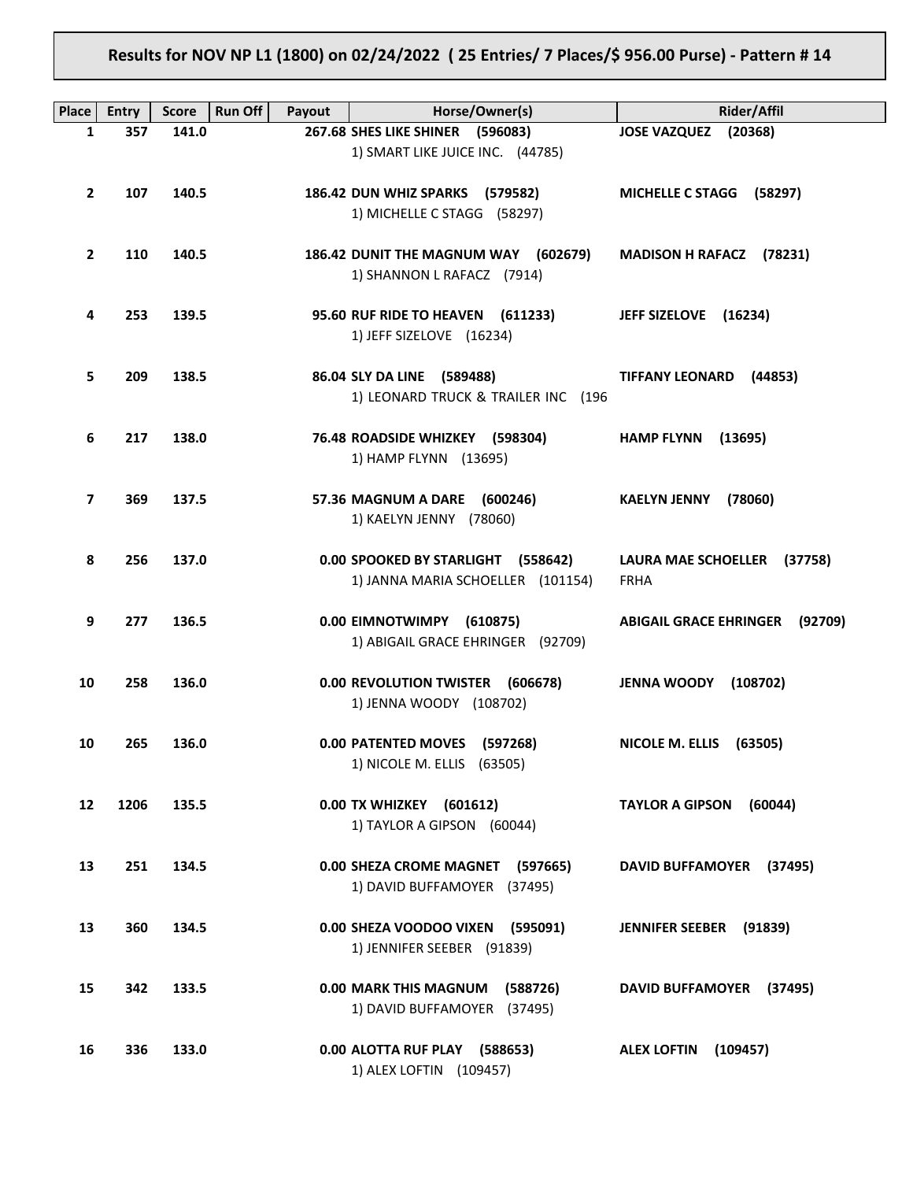# **Results for NOV NP L1 (1800) on 02/24/2022 ( 25 Entries/ 7 Places/\$ 956.00 Purse) - Pattern # 14**

| Place                   | <b>Entry</b> | <b>Score</b> | <b>Run Off</b><br>Payout | Horse/Owner(s)                                                          | Rider/Affil                                          |
|-------------------------|--------------|--------------|--------------------------|-------------------------------------------------------------------------|------------------------------------------------------|
| 1                       | 357          | 141.0        |                          | 267.68 SHES LIKE SHINER (596083)                                        | <b>JOSE VAZQUEZ</b><br>(20368)                       |
|                         |              |              |                          | 1) SMART LIKE JUICE INC. (44785)                                        |                                                      |
| $\overline{2}$          | 107          | 140.5        |                          | 186.42 DUN WHIZ SPARKS (579582)<br>1) MICHELLE C STAGG (58297)          | <b>MICHELLE C STAGG</b><br>(58297)                   |
| $\overline{2}$          | 110          | 140.5        |                          | 186.42 DUNIT THE MAGNUM WAY (602679)<br>1) SHANNON L RAFACZ (7914)      | <b>MADISON H RAFACZ</b><br>(78231)                   |
| 4                       | 253          | 139.5        |                          | 95.60 RUF RIDE TO HEAVEN (611233)<br>1) JEFF SIZELOVE (16234)           | JEFF SIZELOVE (16234)                                |
| 5                       | 209          | 138.5        |                          | 86.04 SLY DA LINE (589488)<br>1) LEONARD TRUCK & TRAILER INC (196       | <b>TIFFANY LEONARD</b><br>(44853)                    |
| 6                       | 217          | 138.0        |                          | 76.48 ROADSIDE WHIZKEY (598304)<br>1) HAMP FLYNN (13695)                | <b>HAMP FLYNN</b><br>(13695)                         |
| $\overline{\mathbf{z}}$ | 369          | 137.5        |                          | 57.36 MAGNUM A DARE (600246)<br>1) KAELYN JENNY (78060)                 | <b>KAELYN JENNY</b><br>(78060)                       |
| 8                       | 256          | 137.0        |                          | 0.00 SPOOKED BY STARLIGHT (558642)<br>1) JANNA MARIA SCHOELLER (101154) | <b>LAURA MAE SCHOELLER</b><br>(37758)<br><b>FRHA</b> |
| 9                       | 277          | 136.5        |                          | 0.00 EIMNOTWIMPY (610875)<br>1) ABIGAIL GRACE EHRINGER (92709)          | <b>ABIGAIL GRACE EHRINGER</b><br>(92709)             |
| 10                      | 258          | 136.0        |                          | 0.00 REVOLUTION TWISTER<br>(606678)<br>1) JENNA WOODY (108702)          | <b>JENNA WOODY</b><br>(108702)                       |
| 10                      | 265          | 136.0        |                          | 0.00 PATENTED MOVES (597268)<br>1) NICOLE M. ELLIS (63505)              | NICOLE M. ELLIS (63505)                              |
| 12                      | 1206         | 135.5        |                          | 0.00 TX WHIZKEY (601612)<br>1) TAYLOR A GIPSON (60044)                  | <b>TAYLOR A GIPSON</b><br>(60044)                    |
| 13                      | 251          | 134.5        |                          | 0.00 SHEZA CROME MAGNET (597665)<br>1) DAVID BUFFAMOYER (37495)         | DAVID BUFFAMOYER (37495)                             |
| 13                      | 360          | 134.5        |                          | 0.00 SHEZA VOODOO VIXEN (595091)<br>1) JENNIFER SEEBER (91839)          | <b>JENNIFER SEEBER</b><br>(91839)                    |
| 15                      | 342          | 133.5        |                          | 0.00 MARK THIS MAGNUM (588726)<br>1) DAVID BUFFAMOYER (37495)           | DAVID BUFFAMOYER (37495)                             |
| 16                      | 336          | 133.0        |                          | 0.00 ALOTTA RUF PLAY (588653)<br>1) ALEX LOFTIN (109457)                | <b>ALEX LOFTIN</b><br>(109457)                       |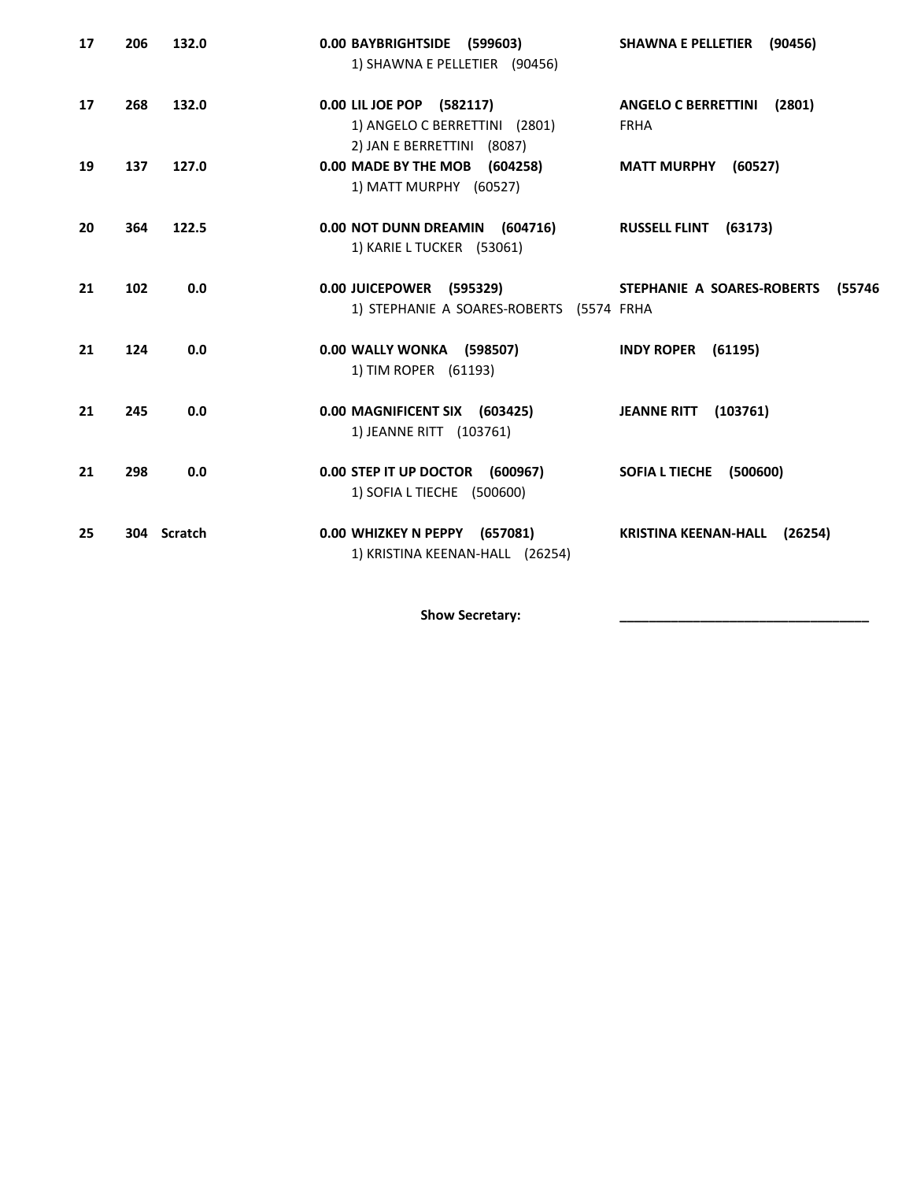| 17 | 206 | 132.0       | 0.00 BAYBRIGHTSIDE (599603)<br>1) SHAWNA E PELLETIER (90456)                             | (90456)<br><b>SHAWNA E PELLETIER</b>                |
|----|-----|-------------|------------------------------------------------------------------------------------------|-----------------------------------------------------|
| 17 | 268 | 132.0       | 0.00 LIL JOE POP (582117)<br>1) ANGELO C BERRETTINI (2801)<br>2) JAN E BERRETTINI (8087) | <b>ANGELO C BERRETTINI</b><br>(2801)<br><b>FRHA</b> |
| 19 | 137 | 127.0       | 0.00 MADE BY THE MOB (604258)<br>1) MATT MURPHY (60527)                                  | <b>MATT MURPHY</b><br>(60527)                       |
| 20 | 364 | 122.5       | 0.00 NOT DUNN DREAMIN (604716)<br>1) KARIE L TUCKER (53061)                              | <b>RUSSELL FLINT</b><br>(63173)                     |
| 21 | 102 | 0.0         | 0.00 JUICEPOWER (595329)<br>1) STEPHANIE A SOARES-ROBERTS (5574 FRHA                     | STEPHANIE A SOARES-ROBERTS<br>(55746                |
| 21 | 124 | 0.0         | 0.00 WALLY WONKA (598507)<br>1) TIM ROPER (61193)                                        | <b>INDY ROPER (61195)</b>                           |
| 21 | 245 | 0.0         | 0.00 MAGNIFICENT SIX (603425)<br>1) JEANNE RITT (103761)                                 | <b>JEANNE RITT</b><br>(103761)                      |
| 21 | 298 | 0.0         | 0.00 STEP IT UP DOCTOR (600967)<br>1) SOFIA L TIECHE (500600)                            | SOFIA L TIECHE (500600)                             |
| 25 |     | 304 Scratch | 0.00 WHIZKEY N PEPPY (657081)<br>1) KRISTINA KEENAN-HALL (26254)                         | <b>KRISTINA KEENAN-HALL</b><br>(26254)              |

Show Secretary: